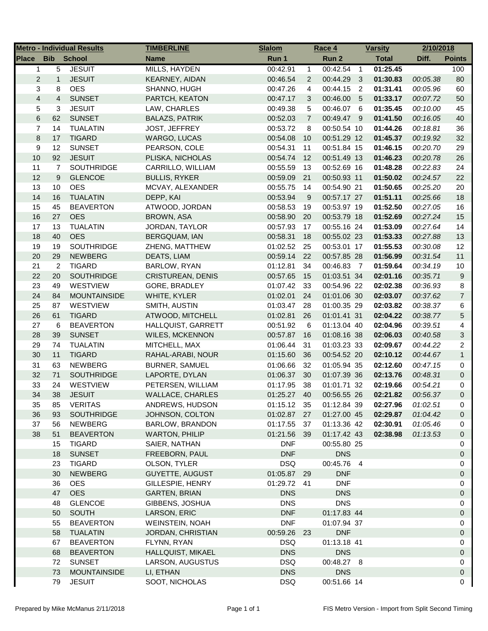|                         |                         | <b>Metro - Individual Results</b> | <b>TIMBERLINE</b>                   | <b>Slalom</b>           |                | Race 4                     |                         | <b>Varsity</b>       | 2/10/2018            |                     |
|-------------------------|-------------------------|-----------------------------------|-------------------------------------|-------------------------|----------------|----------------------------|-------------------------|----------------------|----------------------|---------------------|
| <b>Place</b>            | <b>Bib</b>              | <b>School</b>                     | <b>Name</b>                         | Run 1                   |                | Run 2                      |                         | <b>Total</b>         | Diff.                | <b>Points</b>       |
| $\mathbf 1$             | 5                       | <b>JESUIT</b>                     | MILLS, HAYDEN                       | 00:42.91                | $\mathbf{1}$   | 00:42.54                   | $\overline{1}$          | 01:25.45             |                      | 100                 |
| $\overline{c}$          | $\mathbf{1}$            | <b>JESUIT</b>                     | <b>KEARNEY, AIDAN</b>               | 00:46.54                | 2              | 00:44.29                   | $\overline{\mathbf{3}}$ | 01:30.83             | 00:05.38             | 80                  |
| 3                       | 8                       | <b>OES</b>                        | SHANNO, HUGH                        | 00:47.26                | 4              | 00:44.15                   | $\overline{2}$          | 01:31.41             | 00:05.96             | 60                  |
| $\overline{\mathbf{4}}$ | $\overline{\mathbf{4}}$ | <b>SUNSET</b>                     | PARTCH, KEATON                      | 00:47.17                | 3              | 00:46.00                   | 5                       | 01:33.17             | 00:07.72             | 50                  |
| 5                       | 3                       | <b>JESUIT</b>                     | LAW, CHARLES                        | 00:49.38                | 5              | 00:46.07 6                 |                         | 01:35.45             | 00:10.00             | 45                  |
| 6                       | 62                      | <b>SUNSET</b>                     | <b>BALAZS, PATRIK</b>               | 00:52.03                | $\overline{7}$ | 00:49.47 9                 |                         | 01:41.50             | 00:16.05             | 40                  |
| 7                       | 14                      | <b>TUALATIN</b>                   | <b>JOST, JEFFREY</b>                | 00:53.72                | 8              | 00:50.54 10                |                         | 01:44.26             | 00:18.81             | 36                  |
| 8                       | 17                      | <b>TIGARD</b>                     | WARGO, LUCAS                        | 00:54.08                | 10             | 00:51.29 12                |                         | 01:45.37             | 00:19.92             | 32                  |
| 9                       | 12                      | <b>SUNSET</b>                     | PEARSON, COLE                       | 00:54.31                | 11             | 00:51.84 15                |                         | 01:46.15             | 00:20.70             | 29                  |
| 10                      | 92                      | <b>JESUIT</b>                     | PLISKA, NICHOLAS                    | 00:54.74                | 12             | 00:51.49 13                |                         | 01:46.23             | 00:20.78             | 26                  |
| 11                      | $\overline{7}$          | <b>SOUTHRIDGE</b>                 | CARRILLO, WILLIAM                   | 00:55.59                | 13             | 00:52.69 16                |                         | 01:48.28             | 00:22.83             | 24                  |
| 12                      | 9                       | <b>GLENCOE</b>                    | <b>BULLIS, RYKER</b>                | 00:59.09                | 21             | 00:50.93 11                |                         | 01:50.02             | 00:24.57             | 22                  |
| 13                      | 10                      | <b>OES</b>                        | MCVAY, ALEXANDER                    | 00:55.75                | 14             | 00:54.90 21                |                         | 01:50.65             | 00:25.20             | 20                  |
| 14                      | 16                      | <b>TUALATIN</b>                   | DEPP, KAI                           | 00:53.94                | 9              | 00:57.17 27                |                         | 01:51.11             | 00:25.66             | $18$                |
| 15                      | 45                      | <b>BEAVERTON</b>                  | ATWOOD, JORDAN                      | 00:58.53                | 19             | 00:53.97 19                |                         | 01:52.50             | 00:27.05             | 16                  |
| 16                      | 27                      | <b>OES</b>                        | BROWN, ASA                          | 00:58.90                | 20             | 00:53.79 18                |                         | 01:52.69             | 00:27.24             | 15                  |
| 17                      | 13                      | <b>TUALATIN</b>                   | JORDAN, TAYLOR                      | 00:57.93                | 17             | 00:55.16 24                |                         | 01:53.09             | 00:27.64             | 14                  |
| 18                      | 40                      | <b>OES</b>                        | <b>BERGQUAM, IAN</b>                | 00:58.31                | 18             | 00:55.02 23                |                         | 01:53.33             | 00:27.88             | 13                  |
| 19                      | 19                      | <b>SOUTHRIDGE</b>                 | ZHENG, MATTHEW                      | 01:02.52                | 25             | 00:53.01 17                |                         | 01:55.53             | 00:30.08             | 12                  |
| 20                      | 29                      | <b>NEWBERG</b>                    | DEATS, LIAM                         | 00:59.14                | 22             | 00:57.85 28                |                         | 01:56.99             | 00:31.54             | 11                  |
| 21                      | $\overline{c}$          | <b>TIGARD</b>                     | BARLOW, RYAN                        | 01:12.81                | 34             | 00:46.83 7                 |                         | 01:59.64             | 00:34.19             | 10                  |
| 22                      | 20                      | <b>SOUTHRIDGE</b>                 | <b>CRISTUREAN, DENIS</b>            | 00:57.65                | 15             | 01:03.51 34                |                         | 02:01.16             | 00:35.71             | $\boldsymbol{9}$    |
| 23                      | 49                      | WESTVIEW                          | GORE, BRADLEY                       | 01:07.42                | 33             | 00:54.96 22                |                         | 02:02.38             | 00:36.93             | 8                   |
| 24                      | 84                      | <b>MOUNTAINSIDE</b>               | WHITE, KYLER                        | 01:02.01                | 24             | 01:01.06 30                |                         | 02:03.07             | 00:37.62             | $\overline{7}$      |
| 25                      | 87                      | <b>WESTVIEW</b>                   | SMITH, AUSTIN                       | 01:03.47                | 28             | 01:00.35 29                |                         | 02:03.82             | 00:38.37             | 6                   |
| 26                      | 61                      | <b>TIGARD</b>                     | ATWOOD, MITCHELL                    | 01:02.81                | 26             | 01:01.41 31                |                         | 02:04.22             | 00:38.77             | $\overline{5}$      |
| 27                      | 6                       | <b>BEAVERTON</b>                  | HALLQUIST, GARRETT                  | 00:51.92                | 6              | 01:13.04 40                |                         | 02:04.96             | 00:39.51             | 4                   |
| 28                      | 39                      | <b>SUNSET</b>                     | <b>WILES, MCKENNON</b>              | 00:57.87                | 16             | 01:08.16 38                |                         | 02:06.03             | 00:40.58             | $\mathfrak{S}$      |
| 29                      | 74                      | <b>TUALATIN</b>                   | MITCHELL, MAX                       | 01:06.44                | 31             | 01:03.23 33                |                         | 02:09.67             | 00:44.22             | $\overline{2}$      |
| 30                      | 11                      | <b>TIGARD</b>                     | RAHAL-ARABI, NOUR                   | 01:15.60                | 36             | 00:54.52 20                |                         | 02:10.12             | 00:44.67             | $\mathbf{1}$        |
| 31                      | 63                      | <b>NEWBERG</b>                    | <b>BURNER, SAMUEL</b>               | 01:06.66                | 32             | 01:05.94 35                |                         | 02:12.60             | 00:47.15             | 0                   |
| 32                      | 71                      | SOUTHRIDGE                        |                                     |                         | 30             | 01:07.39 36                |                         |                      |                      | $\mathbf 0$         |
| 33                      | 24                      | WESTVIEW                          | LAPORTE, DYLAN<br>PETERSEN, WILLIAM | 01:06.37                | 38             |                            |                         | 02:13.76             | 00:48.31             | 0                   |
| 34                      | 38                      | <b>JESUIT</b>                     | <b>WALLACE, CHARLES</b>             | 01:17.95                | 40             | 01:01.71 32<br>00:56.55 26 |                         | 02:19.66<br>02:21.82 | 00:54.21             | $\mathbf 0$         |
|                         |                         |                                   | ANDREWS, HUDSON                     | 01:25.27                |                |                            |                         | 02:27.96             | 00:56.37             |                     |
| 35                      | 85                      | <b>VERITAS</b><br>SOUTHRIDGE      | JOHNSON, COLTON                     | 01:15.12 35<br>01:02.87 |                | 01:12.84 39<br>01:27.00 45 |                         |                      | 01:02.51             | 0<br>$\mathbf 0$    |
| 36<br>37                | 93                      | <b>NEWBERG</b>                    | BARLOW, BRANDON                     | 01:17.55                | 27<br>37       | 01:13.36 42                |                         | 02:29.87<br>02:30.91 | 01:04.42             | 0                   |
| 38                      | 56<br>51                | <b>BEAVERTON</b>                  | <b>WARTON, PHILIP</b>               | 01:21.56                | 39             | 01:17.42 43                |                         | 02:38.98             | 01:05.46<br>01:13.53 |                     |
|                         | 15                      | <b>TIGARD</b>                     | SAIER, NATHAN                       | <b>DNF</b>              |                | 00:55.80 25                |                         |                      |                      | $\mathbf 0$<br>0    |
|                         |                         | <b>SUNSET</b>                     |                                     | <b>DNF</b>              |                | <b>DNS</b>                 |                         |                      |                      | $\mathbf 0$         |
|                         | 18                      |                                   | FREEBORN, PAUL                      |                         |                |                            |                         |                      |                      |                     |
|                         | 23                      | <b>TIGARD</b>                     | OLSON, TYLER                        | <b>DSQ</b>              |                | 00:45.76 4                 |                         |                      |                      | 0                   |
|                         | 30                      | <b>NEWBERG</b>                    | GUYETTE, AUGUST                     | 01:05.87 29             |                | <b>DNF</b>                 |                         |                      |                      | $\mathbf 0$         |
|                         | 36                      | <b>OES</b>                        | GILLESPIE, HENRY                    | 01:29.72 41             |                | <b>DNF</b>                 |                         |                      |                      | 0                   |
|                         | 47                      | <b>OES</b>                        | <b>GARTEN, BRIAN</b>                | <b>DNS</b>              |                | <b>DNS</b>                 |                         |                      |                      | $\mathsf{O}\xspace$ |
|                         | 48                      | <b>GLENCOE</b>                    | GIBBENS, JOSHUA                     | <b>DNS</b>              |                | <b>DNS</b>                 |                         |                      |                      | 0                   |
|                         | 50                      | <b>SOUTH</b>                      | LARSON, ERIC                        | <b>DNF</b>              |                | 01:17.83 44                |                         |                      |                      | $\mathsf{O}\xspace$ |
|                         | 55                      | <b>BEAVERTON</b>                  | WEINSTEIN, NOAH                     | <b>DNF</b>              |                | 01:07.94 37                |                         |                      |                      | 0                   |
|                         | 58                      | <b>TUALATIN</b>                   | JORDAN, CHRISTIAN                   | 00:59.26 23             |                | <b>DNF</b>                 |                         |                      |                      | $\mathbf 0$         |
|                         | 67                      | <b>BEAVERTON</b>                  | FLYNN, RYAN                         | DSQ                     |                | 01:13.18 41                |                         |                      |                      | 0                   |
|                         | 68                      | <b>BEAVERTON</b>                  | HALLQUIST, MIKAEL                   | <b>DNS</b>              |                | <b>DNS</b>                 |                         |                      |                      | 0                   |
|                         | 72                      | <b>SUNSET</b>                     | LARSON, AUGUSTUS                    | <b>DSQ</b>              |                | 00:48.27 8                 |                         |                      |                      | 0                   |
|                         | 73                      | <b>MOUNTAINSIDE</b>               | LI, ETHAN                           | <b>DNS</b>              |                | <b>DNS</b>                 |                         |                      |                      | $\mathsf{O}\xspace$ |
|                         | 79                      | <b>JESUIT</b>                     | SOOT, NICHOLAS                      | <b>DSQ</b>              |                | 00:51.66 14                |                         |                      |                      | $\mathbf 0$         |